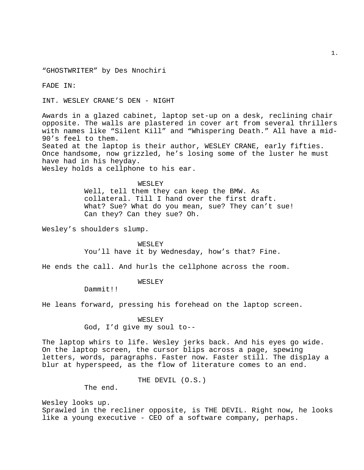"GHOSTWRITER" by Des Nnochiri

FADE IN:

INT. WESLEY CRANE'S DEN - NIGHT

Awards in a glazed cabinet, laptop set-up on a desk, reclining chair opposite. The walls are plastered in cover art from several thrillers with names like "Silent Kill" and "Whispering Death." All have a mid-90's feel to them. Seated at the laptop is their author, WESLEY CRANE, early fifties.

Once handsome, now grizzled, he's losing some of the luster he must have had in his heyday.

Wesley holds a cellphone to his ear.

# WESLEY

Well, tell them they can keep the BMW. As collateral. Till I hand over the first draft. What? Sue? What do you mean, sue? They can't sue! Can they? Can they sue? Oh.

Wesley's shoulders slump.

## WESLEY

You'll have it by Wednesday, how's that? Fine.

He ends the call. And hurls the cellphone across the room.

#### WESLEY

Dammit!!

He leans forward, pressing his forehead on the laptop screen.

# WESLEY

God, I'd give my soul to--

The laptop whirs to life. Wesley jerks back. And his eyes go wide. On the laptop screen, the cursor blips across a page, spewing letters, words, paragraphs. Faster now. Faster still. The display a blur at hyperspeed, as the flow of literature comes to an end.

THE DEVIL (O.S.)

The end.

Wesley looks up. Sprawled in the recliner opposite, is THE DEVIL. Right now, he looks like a young executive - CEO of a software company, perhaps.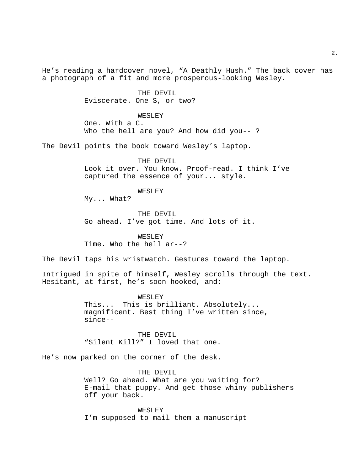2.

He's reading a hardcover novel, "A Deathly Hush." The back cover has a photograph of a fit and more prosperous-looking Wesley.

> THE DEVIL Eviscerate. One S, or two?

> > WESLEY

One. With a C. Who the hell are you? And how did you-- ?

The Devil points the book toward Wesley's laptop.

THE DEVIL Look it over. You know. Proof-read. I think I've captured the essence of your... style.

WESLEY

My... What?

THE DEVIL Go ahead. I've got time. And lots of it.

WESLEY Time. Who the hell ar--?

The Devil taps his wristwatch. Gestures toward the laptop.

Intrigued in spite of himself, Wesley scrolls through the text. Hesitant, at first, he's soon hooked, and:

> WESLEY This... This is brilliant. Absolutely... magnificent. Best thing I've written since, since--

THE DEVIL "Silent Kill?" I loved that one.

He's now parked on the corner of the desk.

THE DEVIL Well? Go ahead. What are you waiting for? E-mail that puppy. And get those whiny publishers off your back.

WESLEY I'm supposed to mail them a manuscript--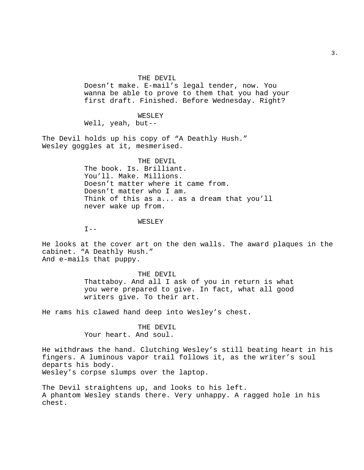THE DEVIL

Doesn't make. E-mail's legal tender, now. You wanna be able to prove to them that you had your first draft. Finished. Before Wednesday. Right?

WESLEY Well, yeah, but--

The Devil holds up his copy of "A Deathly Hush." Wesley goggles at it, mesmerised.

# THE DEVIL

The book. Is. Brilliant. You'll. Make. Millions. Doesn't matter where it came from. Doesn't matter who I am. Think of this as a... as a dream that you'll never wake up from.

# WESLEY

 $I --$ 

He looks at the cover art on the den walls. The award plaques in the cabinet. "A Deathly Hush." And e-mails that puppy.

#### THE DEVIL

Thattaboy. And all I ask of you in return is what you were prepared to give. In fact, what all good writers give. To their art.

He rams his clawed hand deep into Wesley's chest.

# THE DEVIL

Your heart. And soul.

He withdraws the hand. Clutching Wesley's still beating heart in his fingers. A luminous vapor trail follows it, as the writer's soul departs his body. Wesley's corpse slumps over the laptop.

The Devil straightens up, and looks to his left. A phantom Wesley stands there. Very unhappy. A ragged hole in his chest.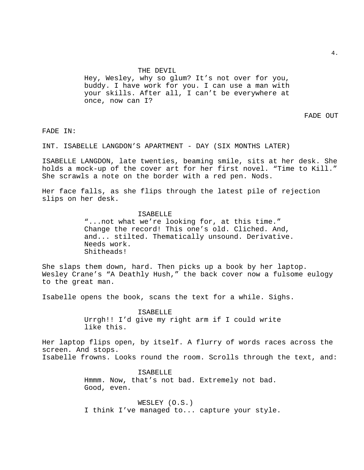#### THE DEVIL

Hey, Wesley, why so glum? It's not over for you, buddy. I have work for you. I can use a man with your skills. After all, I can't be everywhere at once, now can I?

FADE OUT

FADE IN:

INT. ISABELLE LANGDON'S APARTMENT - DAY (SIX MONTHS LATER)

ISABELLE LANGDON, late twenties, beaming smile, sits at her desk. She holds a mock-up of the cover art for her first novel. "Time to Kill." She scrawls a note on the border with a red pen. Nods.

Her face falls, as she flips through the latest pile of rejection slips on her desk.

#### ISABELLE

"...not what we're looking for, at this time." Change the record! This one's old. Cliched. And, and... stilted. Thematically unsound. Derivative. Needs work. Shitheads!

She slaps them down, hard. Then picks up a book by her laptop. Wesley Crane's "A Deathly Hush," the back cover now a fulsome eulogy to the great man.

Isabelle opens the book, scans the text for a while. Sighs.

ISABELLE Urrgh!! I'd give my right arm if I could write like this.

Her laptop flips open, by itself. A flurry of words races across the screen. And stops. Isabelle frowns. Looks round the room. Scrolls through the text, and:

> ISABELLE Hmmm. Now, that's not bad. Extremely not bad. Good, even.

WESLEY (O.S.) I think I've managed to... capture your style.